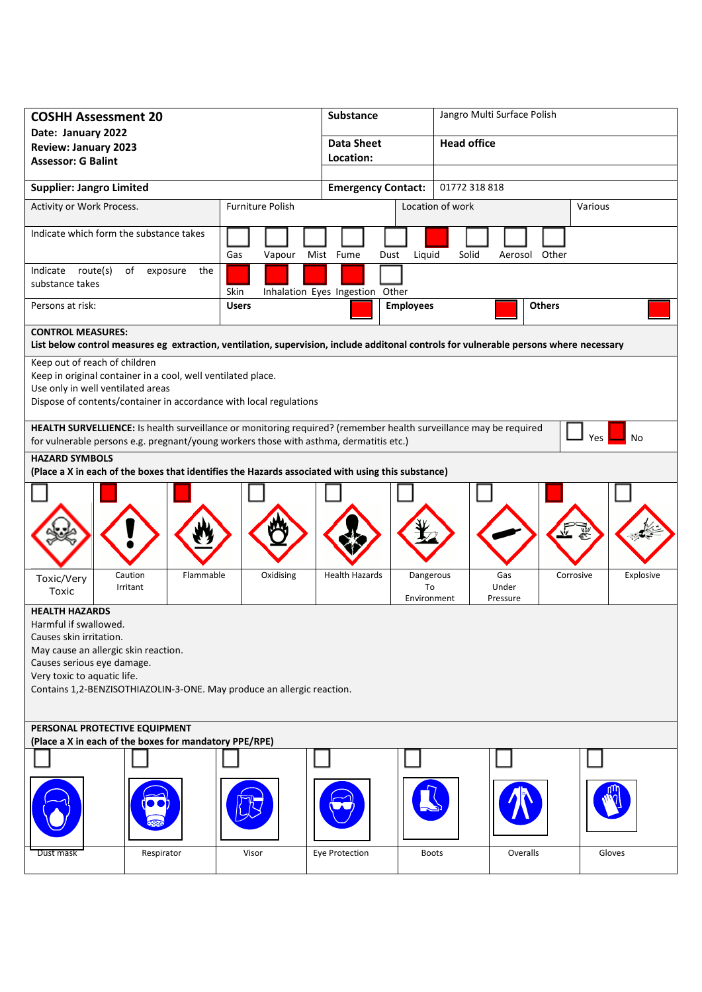| <b>COSHH Assessment 20</b>                                                                                                             |                         | <b>Substance</b>                | Jangro Multi Surface Polish                |                        |  |
|----------------------------------------------------------------------------------------------------------------------------------------|-------------------------|---------------------------------|--------------------------------------------|------------------------|--|
| Date: January 2022                                                                                                                     |                         | <b>Data Sheet</b>               | <b>Head office</b>                         |                        |  |
| <b>Review: January 2023</b><br><b>Assessor: G Balint</b>                                                                               |                         | Location:                       |                                            |                        |  |
|                                                                                                                                        |                         |                                 |                                            |                        |  |
| <b>Supplier: Jangro Limited</b>                                                                                                        |                         |                                 | 01772 318 818<br><b>Emergency Contact:</b> |                        |  |
| Activity or Work Process.                                                                                                              | <b>Furniture Polish</b> |                                 | Location of work                           | Various                |  |
| Indicate which form the substance takes                                                                                                | Gas<br>Vapour           | Mist Fume<br>Liquid<br>Dust     | Solid<br>Aerosol Other                     |                        |  |
| Indicate route(s)<br>of<br>exposure<br>the<br>substance takes                                                                          | Skin                    | Inhalation Eyes Ingestion Other |                                            |                        |  |
| Persons at risk:                                                                                                                       | <b>Users</b>            | <b>Employees</b>                |                                            | <b>Others</b>          |  |
| <b>CONTROL MEASURES:</b>                                                                                                               |                         |                                 |                                            |                        |  |
| List below control measures eg extraction, ventilation, supervision, include additonal controls for vulnerable persons where necessary |                         |                                 |                                            |                        |  |
| Keep out of reach of children<br>Keep in original container in a cool, well ventilated place.                                          |                         |                                 |                                            |                        |  |
| Use only in well ventilated areas                                                                                                      |                         |                                 |                                            |                        |  |
| Dispose of contents/container in accordance with local regulations                                                                     |                         |                                 |                                            |                        |  |
| HEALTH SURVELLIENCE: Is health surveillance or monitoring required? (remember health surveillance may be required                      |                         |                                 |                                            |                        |  |
| for vulnerable persons e.g. pregnant/young workers those with asthma, dermatitis etc.)                                                 |                         |                                 |                                            | Yes<br>No              |  |
| <b>HAZARD SYMBOLS</b>                                                                                                                  |                         |                                 |                                            |                        |  |
| (Place a X in each of the boxes that identifies the Hazards associated with using this substance)                                      |                         |                                 |                                            |                        |  |
|                                                                                                                                        |                         |                                 |                                            |                        |  |
|                                                                                                                                        |                         |                                 |                                            |                        |  |
|                                                                                                                                        |                         |                                 |                                            |                        |  |
|                                                                                                                                        |                         |                                 |                                            |                        |  |
| Caution<br>Flammable                                                                                                                   | Oxidising               | <b>Health Hazards</b>           | Dangerous<br>Gas                           | Corrosive<br>Explosive |  |
| Toxic/Very<br>Irritant<br>Toxic                                                                                                        |                         |                                 | Under<br>To                                |                        |  |
| <b>HEALTH HAZARDS</b>                                                                                                                  |                         |                                 | Pressure<br>Environment                    |                        |  |
| Harmful if swallowed.                                                                                                                  |                         |                                 |                                            |                        |  |
| Causes skin irritation.                                                                                                                |                         |                                 |                                            |                        |  |
| May cause an allergic skin reaction.<br>Causes serious eye damage.                                                                     |                         |                                 |                                            |                        |  |
| Very toxic to aquatic life.                                                                                                            |                         |                                 |                                            |                        |  |
| Contains 1,2-BENZISOTHIAZOLIN-3-ONE. May produce an allergic reaction.                                                                 |                         |                                 |                                            |                        |  |
|                                                                                                                                        |                         |                                 |                                            |                        |  |
| PERSONAL PROTECTIVE EQUIPMENT                                                                                                          |                         |                                 |                                            |                        |  |
| (Place a X in each of the boxes for mandatory PPE/RPE)                                                                                 |                         |                                 |                                            |                        |  |
|                                                                                                                                        |                         |                                 |                                            |                        |  |
|                                                                                                                                        |                         |                                 |                                            |                        |  |
| Respirator<br>Dust mask                                                                                                                | Visor                   | Eye Protection                  | Overalls<br><b>Boots</b>                   | Gloves                 |  |